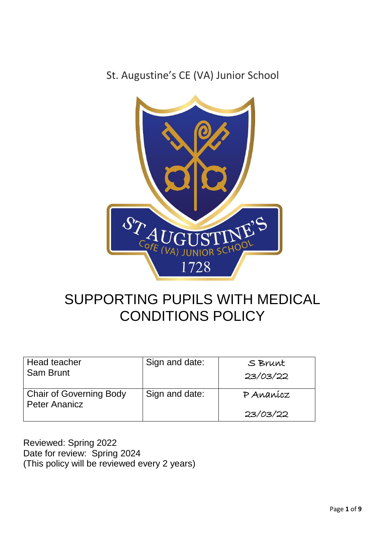St. Augustine's CE (VA) Junior School



# SUPPORTING PUPILS WITH MEDICAL CONDITIONS POLICY

| Head teacher<br><b>Sam Brunt</b>                       | Sign and date: | S Brunt<br>23/03/22   |
|--------------------------------------------------------|----------------|-----------------------|
| <b>Chair of Governing Body</b><br><b>Peter Ananicz</b> | Sign and date: | P Ananícz<br>23/03/22 |

Reviewed: Spring 2022 Date for review: Spring 2024 (This policy will be reviewed every 2 years)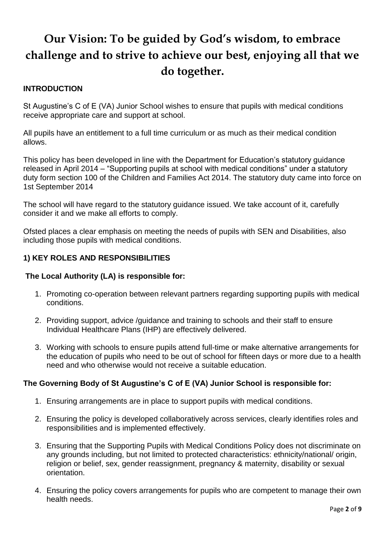# **Our Vision: To be guided by God's wisdom, to embrace challenge and to strive to achieve our best, enjoying all that we do together.**

## **INTRODUCTION**

St Augustine's C of E (VA) Junior School wishes to ensure that pupils with medical conditions receive appropriate care and support at school.

All pupils have an entitlement to a full time curriculum or as much as their medical condition allows.

This policy has been developed in line with the Department for Education's statutory guidance released in April 2014 – "Supporting pupils at school with medical conditions" under a statutory duty form section 100 of the Children and Families Act 2014. The statutory duty came into force on 1st September 2014

The school will have regard to the statutory guidance issued. We take account of it, carefully consider it and we make all efforts to comply.

Ofsted places a clear emphasis on meeting the needs of pupils with SEN and Disabilities, also including those pupils with medical conditions.

## **1) KEY ROLES AND RESPONSIBILITIES**

### **The Local Authority (LA) is responsible for:**

- 1. Promoting co-operation between relevant partners regarding supporting pupils with medical conditions.
- 2. Providing support, advice /guidance and training to schools and their staff to ensure Individual Healthcare Plans (IHP) are effectively delivered.
- 3. Working with schools to ensure pupils attend full-time or make alternative arrangements for the education of pupils who need to be out of school for fifteen days or more due to a health need and who otherwise would not receive a suitable education.

### **The Governing Body of St Augustine's C of E (VA) Junior School is responsible for:**

- 1. Ensuring arrangements are in place to support pupils with medical conditions.
- 2. Ensuring the policy is developed collaboratively across services, clearly identifies roles and responsibilities and is implemented effectively.
- 3. Ensuring that the Supporting Pupils with Medical Conditions Policy does not discriminate on any grounds including, but not limited to protected characteristics: ethnicity/national/ origin, religion or belief, sex, gender reassignment, pregnancy & maternity, disability or sexual orientation.
- 4. Ensuring the policy covers arrangements for pupils who are competent to manage their own health needs.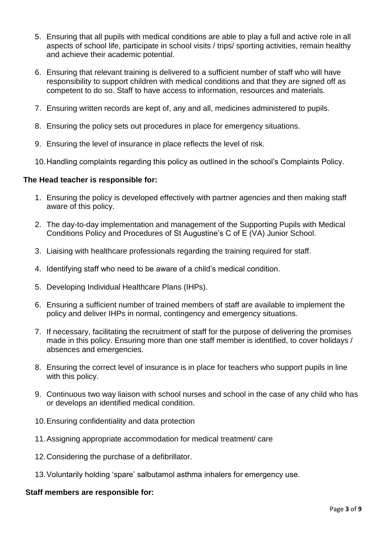- 5. Ensuring that all pupils with medical conditions are able to play a full and active role in all aspects of school life, participate in school visits / trips/ sporting activities, remain healthy and achieve their academic potential.
- 6. Ensuring that relevant training is delivered to a sufficient number of staff who will have responsibility to support children with medical conditions and that they are signed off as competent to do so. Staff to have access to information, resources and materials.
- 7. Ensuring written records are kept of, any and all, medicines administered to pupils.
- 8. Ensuring the policy sets out procedures in place for emergency situations.
- 9. Ensuring the level of insurance in place reflects the level of risk.
- 10.Handling complaints regarding this policy as outlined in the school's Complaints Policy.

### **The Head teacher is responsible for:**

- 1. Ensuring the policy is developed effectively with partner agencies and then making staff aware of this policy.
- 2. The day-to-day implementation and management of the Supporting Pupils with Medical Conditions Policy and Procedures of St Augustine's C of E (VA) Junior School.
- 3. Liaising with healthcare professionals regarding the training required for staff.
- 4. Identifying staff who need to be aware of a child's medical condition.
- 5. Developing Individual Healthcare Plans (IHPs).
- 6. Ensuring a sufficient number of trained members of staff are available to implement the policy and deliver IHPs in normal, contingency and emergency situations.
- 7. If necessary, facilitating the recruitment of staff for the purpose of delivering the promises made in this policy. Ensuring more than one staff member is identified, to cover holidays / absences and emergencies.
- 8. Ensuring the correct level of insurance is in place for teachers who support pupils in line with this policy.
- 9. Continuous two way liaison with school nurses and school in the case of any child who has or develops an identified medical condition.
- 10.Ensuring confidentiality and data protection
- 11.Assigning appropriate accommodation for medical treatment/ care
- 12.Considering the purchase of a defibrillator.
- 13.Voluntarily holding 'spare' salbutamol asthma inhalers for emergency use.

#### **Staff members are responsible for:**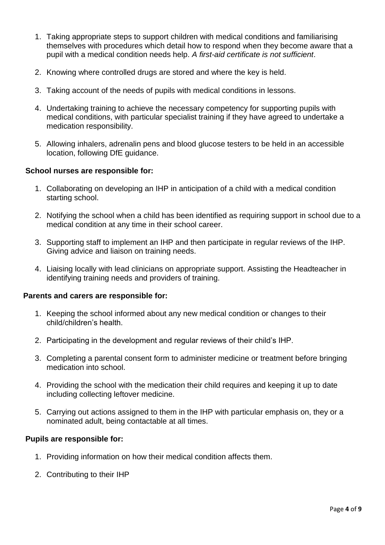- 1. Taking appropriate steps to support children with medical conditions and familiarising themselves with procedures which detail how to respond when they become aware that a pupil with a medical condition needs help. *A first-aid certificate is not sufficient*.
- 2. Knowing where controlled drugs are stored and where the key is held.
- 3. Taking account of the needs of pupils with medical conditions in lessons.
- 4. Undertaking training to achieve the necessary competency for supporting pupils with medical conditions, with particular specialist training if they have agreed to undertake a medication responsibility.
- 5. Allowing inhalers, adrenalin pens and blood glucose testers to be held in an accessible location, following DfE guidance.

### **School nurses are responsible for:**

- 1. Collaborating on developing an IHP in anticipation of a child with a medical condition starting school.
- 2. Notifying the school when a child has been identified as requiring support in school due to a medical condition at any time in their school career.
- 3. Supporting staff to implement an IHP and then participate in regular reviews of the IHP. Giving advice and liaison on training needs.
- 4. Liaising locally with lead clinicians on appropriate support. Assisting the Headteacher in identifying training needs and providers of training.

#### **Parents and carers are responsible for:**

- 1. Keeping the school informed about any new medical condition or changes to their child/children's health.
- 2. Participating in the development and regular reviews of their child's IHP.
- 3. Completing a parental consent form to administer medicine or treatment before bringing medication into school.
- 4. Providing the school with the medication their child requires and keeping it up to date including collecting leftover medicine.
- 5. Carrying out actions assigned to them in the IHP with particular emphasis on, they or a nominated adult, being contactable at all times.

#### **Pupils are responsible for:**

- 1. Providing information on how their medical condition affects them.
- 2. Contributing to their IHP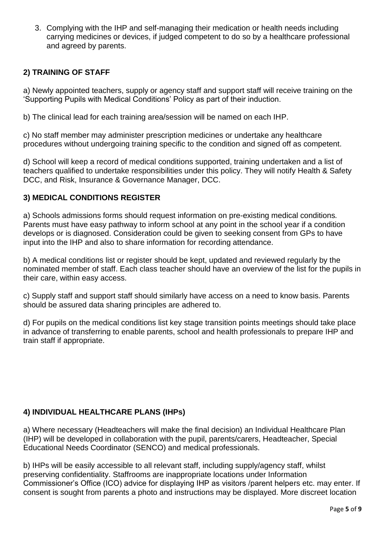3. Complying with the IHP and self-managing their medication or health needs including carrying medicines or devices, if judged competent to do so by a healthcare professional and agreed by parents.

## **2) TRAINING OF STAFF**

a) Newly appointed teachers, supply or agency staff and support staff will receive training on the 'Supporting Pupils with Medical Conditions' Policy as part of their induction.

b) The clinical lead for each training area/session will be named on each IHP.

c) No staff member may administer prescription medicines or undertake any healthcare procedures without undergoing training specific to the condition and signed off as competent.

d) School will keep a record of medical conditions supported, training undertaken and a list of teachers qualified to undertake responsibilities under this policy. They will notify Health & Safety DCC, and Risk, Insurance & Governance Manager, DCC.

### **3) MEDICAL CONDITIONS REGISTER**

a) Schools admissions forms should request information on pre-existing medical conditions*.*  Parents must have easy pathway to inform school at any point in the school year if a condition develops or is diagnosed. Consideration could be given to seeking consent from GPs to have input into the IHP and also to share information for recording attendance.

b) A medical conditions list or register should be kept, updated and reviewed regularly by the nominated member of staff. Each class teacher should have an overview of the list for the pupils in their care, within easy access.

c) Supply staff and support staff should similarly have access on a need to know basis. Parents should be assured data sharing principles are adhered to.

d) For pupils on the medical conditions list key stage transition points meetings should take place in advance of transferring to enable parents, school and health professionals to prepare IHP and train staff if appropriate.

### **4) INDIVIDUAL HEALTHCARE PLANS (IHPs)**

a) Where necessary (Headteachers will make the final decision) an Individual Healthcare Plan (IHP) will be developed in collaboration with the pupil, parents/carers, Headteacher, Special Educational Needs Coordinator (SENCO) and medical professionals.

b) IHPs will be easily accessible to all relevant staff, including supply/agency staff, whilst preserving confidentiality. Staffrooms are inappropriate locations under Information Commissioner's Office (ICO) advice for displaying IHP as visitors /parent helpers etc. may enter. If consent is sought from parents a photo and instructions may be displayed. More discreet location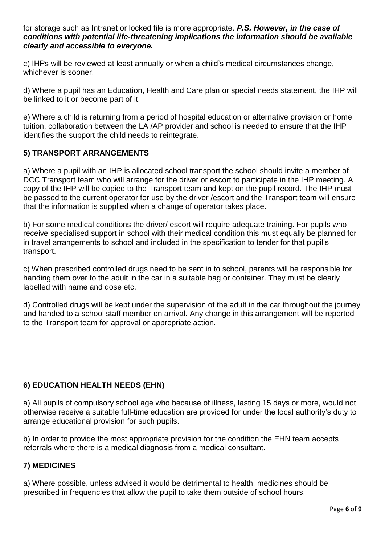for storage such as Intranet or locked file is more appropriate. *P.S. However, in the case of conditions with potential life-threatening implications the information should be available clearly and accessible to everyone.* 

c) IHPs will be reviewed at least annually or when a child's medical circumstances change, whichever is sooner.

d) Where a pupil has an Education, Health and Care plan or special needs statement, the IHP will be linked to it or become part of it.

e) Where a child is returning from a period of hospital education or alternative provision or home tuition, collaboration between the LA /AP provider and school is needed to ensure that the IHP identifies the support the child needs to reintegrate.

## **5) TRANSPORT ARRANGEMENTS**

a) Where a pupil with an IHP is allocated school transport the school should invite a member of DCC Transport team who will arrange for the driver or escort to participate in the IHP meeting. A copy of the IHP will be copied to the Transport team and kept on the pupil record. The IHP must be passed to the current operator for use by the driver /escort and the Transport team will ensure that the information is supplied when a change of operator takes place.

b) For some medical conditions the driver/ escort will require adequate training. For pupils who receive specialised support in school with their medical condition this must equally be planned for in travel arrangements to school and included in the specification to tender for that pupil's transport.

c) When prescribed controlled drugs need to be sent in to school, parents will be responsible for handing them over to the adult in the car in a suitable bag or container. They must be clearly labelled with name and dose etc.

d) Controlled drugs will be kept under the supervision of the adult in the car throughout the journey and handed to a school staff member on arrival. Any change in this arrangement will be reported to the Transport team for approval or appropriate action.

### **6) EDUCATION HEALTH NEEDS (EHN)**

a) All pupils of compulsory school age who because of illness, lasting 15 days or more, would not otherwise receive a suitable full-time education are provided for under the local authority's duty to arrange educational provision for such pupils.

b) In order to provide the most appropriate provision for the condition the EHN team accepts referrals where there is a medical diagnosis from a medical consultant.

### **7) MEDICINES**

a) Where possible, unless advised it would be detrimental to health, medicines should be prescribed in frequencies that allow the pupil to take them outside of school hours.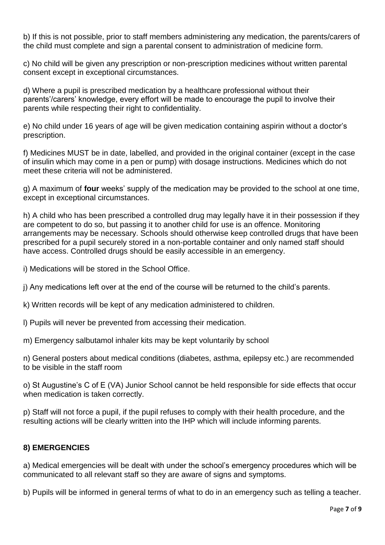b) If this is not possible, prior to staff members administering any medication, the parents/carers of the child must complete and sign a parental consent to administration of medicine form.

c) No child will be given any prescription or non-prescription medicines without written parental consent except in exceptional circumstances.

d) Where a pupil is prescribed medication by a healthcare professional without their parents'/carers' knowledge, every effort will be made to encourage the pupil to involve their parents while respecting their right to confidentiality.

e) No child under 16 years of age will be given medication containing aspirin without a doctor's prescription.

f) Medicines MUST be in date, labelled, and provided in the original container (except in the case of insulin which may come in a pen or pump) with dosage instructions. Medicines which do not meet these criteria will not be administered.

g) A maximum of **four** weeks' supply of the medication may be provided to the school at one time, except in exceptional circumstances.

h) A child who has been prescribed a controlled drug may legally have it in their possession if they are competent to do so, but passing it to another child for use is an offence. Monitoring arrangements may be necessary. Schools should otherwise keep controlled drugs that have been prescribed for a pupil securely stored in a non-portable container and only named staff should have access. Controlled drugs should be easily accessible in an emergency.

i) Medications will be stored in the School Office.

j) Any medications left over at the end of the course will be returned to the child's parents.

- k) Written records will be kept of any medication administered to children.
- l) Pupils will never be prevented from accessing their medication.
- m) Emergency salbutamol inhaler kits may be kept voluntarily by school

n) General posters about medical conditions (diabetes, asthma, epilepsy etc.) are recommended to be visible in the staff room

o) St Augustine's C of E (VA) Junior School cannot be held responsible for side effects that occur when medication is taken correctly.

p) Staff will not force a pupil, if the pupil refuses to comply with their health procedure, and the resulting actions will be clearly written into the IHP which will include informing parents.

### **8) EMERGENCIES**

a) Medical emergencies will be dealt with under the school's emergency procedures which will be communicated to all relevant staff so they are aware of signs and symptoms.

b) Pupils will be informed in general terms of what to do in an emergency such as telling a teacher.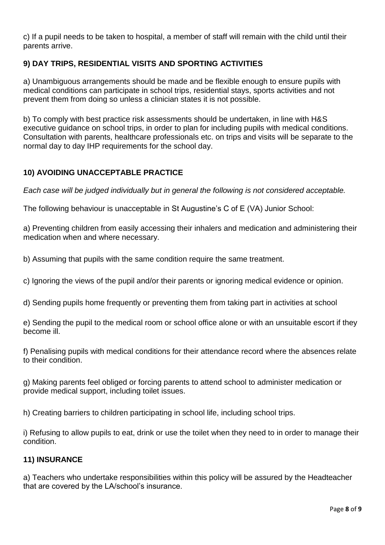c) If a pupil needs to be taken to hospital, a member of staff will remain with the child until their parents arrive.

# **9) DAY TRIPS, RESIDENTIAL VISITS AND SPORTING ACTIVITIES**

a) Unambiguous arrangements should be made and be flexible enough to ensure pupils with medical conditions can participate in school trips, residential stays, sports activities and not prevent them from doing so unless a clinician states it is not possible.

b) To comply with best practice risk assessments should be undertaken, in line with H&S executive guidance on school trips, in order to plan for including pupils with medical conditions. Consultation with parents, healthcare professionals etc. on trips and visits will be separate to the normal day to day IHP requirements for the school day.

## **10) AVOIDING UNACCEPTABLE PRACTICE**

*Each case will be judged individually but in general the following is not considered acceptable.* 

The following behaviour is unacceptable in St Augustine's C of E (VA) Junior School:

a) Preventing children from easily accessing their inhalers and medication and administering their medication when and where necessary.

b) Assuming that pupils with the same condition require the same treatment.

c) Ignoring the views of the pupil and/or their parents or ignoring medical evidence or opinion.

d) Sending pupils home frequently or preventing them from taking part in activities at school

e) Sending the pupil to the medical room or school office alone or with an unsuitable escort if they become ill.

f) Penalising pupils with medical conditions for their attendance record where the absences relate to their condition.

g) Making parents feel obliged or forcing parents to attend school to administer medication or provide medical support, including toilet issues.

h) Creating barriers to children participating in school life, including school trips.

i) Refusing to allow pupils to eat, drink or use the toilet when they need to in order to manage their condition.

## **11) INSURANCE**

a) Teachers who undertake responsibilities within this policy will be assured by the Headteacher that are covered by the LA/school's insurance.